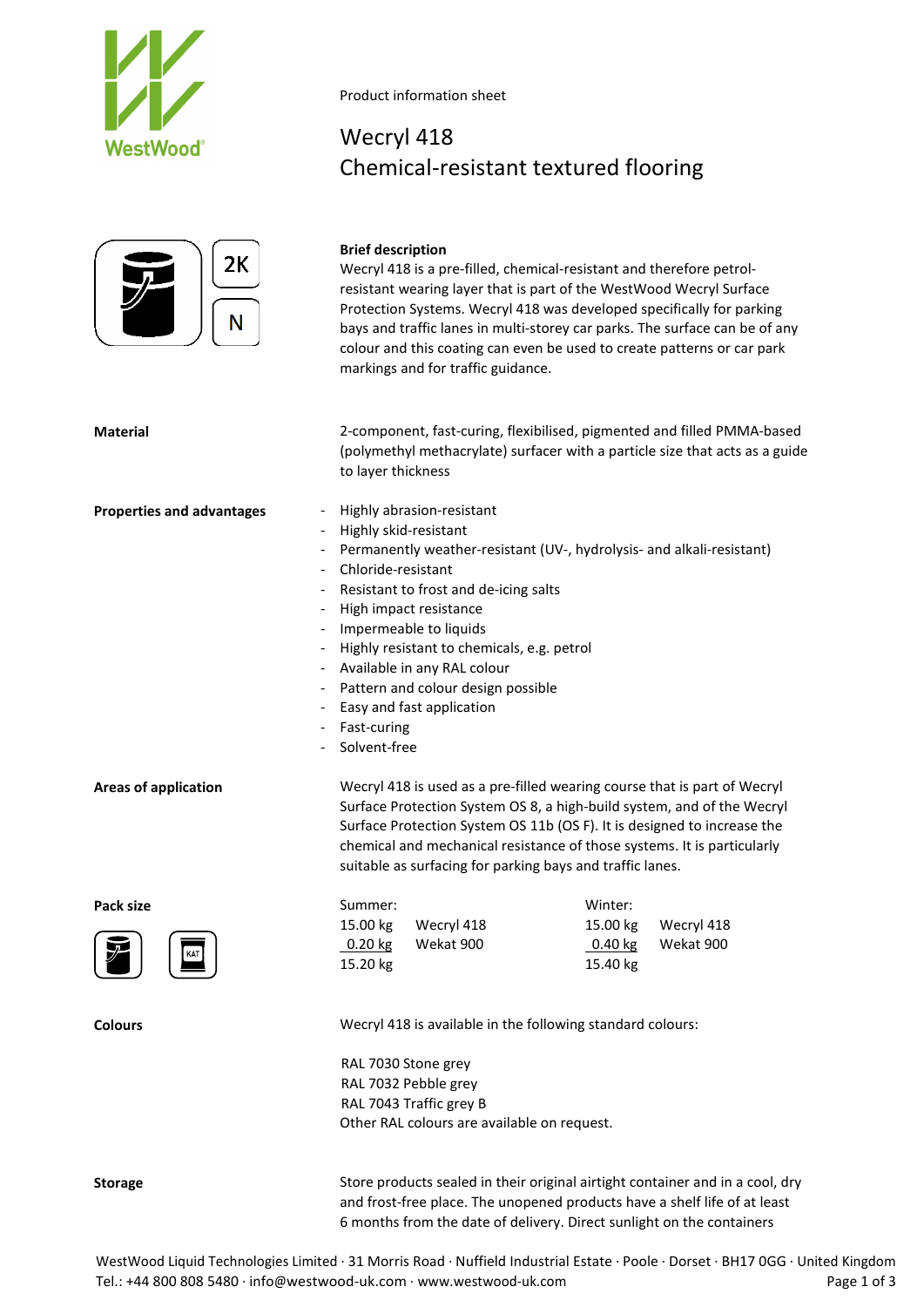

# $2K$ N

### **Brief description**

Wecryl 418

Product information sheet

Wecryl 418 is a pre-filled, chemical-resistant and therefore petrolresistant wearing layer that is part of the WestWood Wecryl Surface Protection Systems. Wecryl 418 was developed specifically for parking bays and traffic lanes in multi-storey car parks. The surface can be of any colour and this coating can even be used to create patterns or car park markings and for traffic guidance.

Chemical-resistant textured flooring

**Material** 2-component, fast-curing, flexibilised, pigmented and filled PMMA-based (polymethyl methacrylate) surfacer with a particle size that acts as a guide to layer thickness

- **Properties and advantages** Highly abrasion-resistant
	- Highly skid-resistant
	- Permanently weather-resistant (UV-, hydrolysis- and alkali-resistant)
	- Chloride-resistant
	- Resistant to frost and de-icing salts
	- High impact resistance
	- Impermeable to liquids
	- Highly resistant to chemicals, e.g. petrol
	- Available in any RAL colour
	- Pattern and colour design possible
	- Easy and fast application
	- Fast-curing
	- Solvent-free

**Areas of application** Wecryl 418 is used as a pre-filled wearing course that is part of Wecryl Surface Protection System OS 8, a high-build system, and of the Wecryl Surface Protection System OS 11b (OS F). It is designed to increase the chemical and mechanical resistance of those systems. It is particularly suitable as surfacing for parking bays and traffic lanes.

Pack size **Summer:** Summer: **Example 2018** Winter: 15.00 kg Wecryl 418 15.00 kg Wecryl 418 0.20 kg Wekat 900 0.40 kg Wekat 900 15.20 kg 15.40 kg

**Colours Colours Colours Wecryl 418** is available in the following standard colours:

RAL 7030 Stone grey RAL 7032 Pebble grey RAL 7043 Traffic grey B Other RAL colours are available on request.

**Storage** Store products sealed in their original airtight container and in a cool, dry and frost-free place. The unopened products have a shelf life of at least 6 months from the date of delivery. Direct sunlight on the containers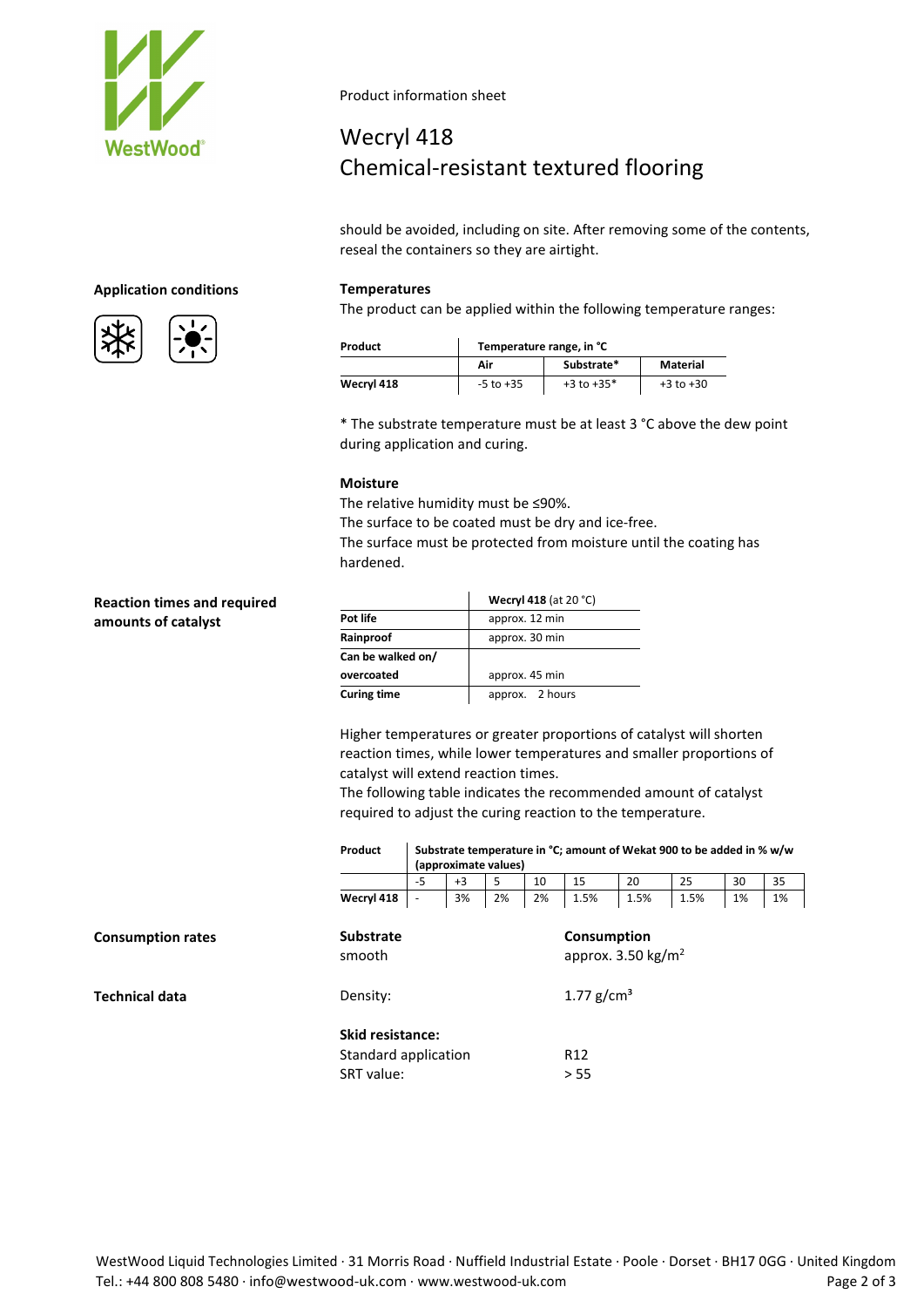

Product information sheet

### Wecryl 418 Chemical-resistant textured flooring

should be avoided, including on site. After removing some of the contents, reseal the containers so they are airtight.

The product can be applied within the following temperature ranges:

| Product    | Temperature range, in °C |                |               |  |  |  |  |
|------------|--------------------------|----------------|---------------|--|--|--|--|
|            | Air                      | Substrate*     | Material      |  |  |  |  |
| Wecryl 418 | $-5$ to $+35$            | $+3$ to $+35*$ | $+3$ to $+30$ |  |  |  |  |

\* The substrate temperature must be at least 3 °C above the dew point during application and curing.

### **Moisture**

The relative humidity must be ≤90%.

The surface to be coated must be dry and ice-free.

The surface must be protected from moisture until the coating has hardened.

|                    | <b>Wecryl 418 (at 20 °C)</b> |  |  |  |
|--------------------|------------------------------|--|--|--|
| Pot life           | approx. 12 min               |  |  |  |
| Rainproof          | approx. 30 min               |  |  |  |
| Can be walked on/  |                              |  |  |  |
| overcoated         | approx. 45 min               |  |  |  |
| <b>Curing time</b> | approx. 2 hours              |  |  |  |

Higher temperatures or greater proportions of catalyst will shorten reaction times, while lower temperatures and smaller proportions of catalyst will extend reaction times.

The following table indicates the recommended amount of catalyst required to adjust the curing reaction to the temperature.

|                          | Product                    | Substrate temperature in °C; amount of Wekat 900 to be added in % w/w<br>(approximate values) |      |    |    |                                              |      |      |    |    |
|--------------------------|----------------------------|-----------------------------------------------------------------------------------------------|------|----|----|----------------------------------------------|------|------|----|----|
|                          |                            | $-5$                                                                                          | $+3$ | 5  | 10 | 15                                           | 20   | 25   | 30 | 35 |
|                          | Wecryl 418                 | $\overline{\phantom{a}}$                                                                      | 3%   | 2% | 2% | 1.5%                                         | 1.5% | 1.5% | 1% | 1% |
| <b>Consumption rates</b> | <b>Substrate</b><br>smooth |                                                                                               |      |    |    | Consumption<br>approx. $3.50 \text{ kg/m}^2$ |      |      |    |    |
| <b>Technical data</b>    | Density:                   |                                                                                               |      |    |    | 1.77 $g/cm^{3}$                              |      |      |    |    |
|                          | <b>Skid resistance:</b>    | Standard application                                                                          |      |    |    | R <sub>12</sub>                              |      |      |    |    |
|                          | SRT value:                 |                                                                                               |      |    |    | > 55                                         |      |      |    |    |

**Application conditions Temperatures**



### **Reaction times and required amounts of catalyst**